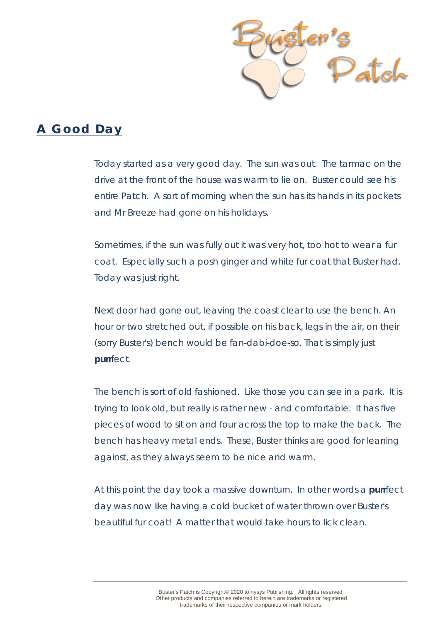

## **A Good Day**

Today started as a very good day. The sun was out. The tarmac on the drive at the front of the house was warm to lie on. Buster could see his entire Patch. A sort of morning when the sun has its hands in its pockets and Mr Breeze had gone on his holidays.

Sometimes, if the sun was fully out it was very hot, too hot to wear a fur coat. Especially such a posh ginger and white fur coat that Buster had. Today was just right.

Next door had gone out, leaving the coast clear to use the bench. An hour or two stretched out, if possible on his back, legs in the air, on their (sorry Buster's) bench would be fan-dabi-doe-so. That is simply just *purr*fect.

The bench is sort of old fashioned. Like those you can see in a park. It is trying to look old, but really is rather new - and comfortable. It has five pieces of wood to sit on and four across the top to make the back. The bench has heavy metal ends. These, Buster thinks are good for leaning against, as they always seem to be nice and warm.

At this point the day took a massive downturn. In other words a *purr*fect day was now like having a cold bucket of water thrown over Buster's beautiful fur coat! A matter that would take hours to lick clean.